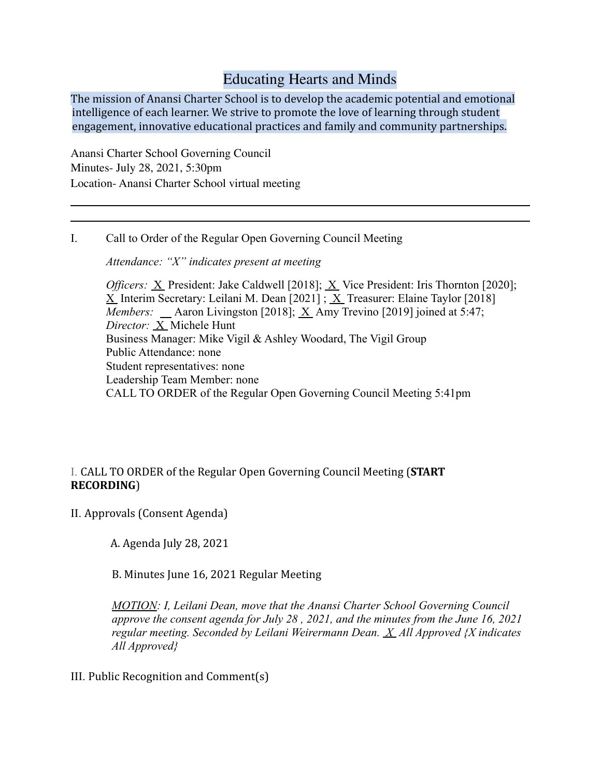# Educating Hearts and Minds

The mission of Anansi Charter School is to develop the academic potential and emotional intelligence of each learner. We strive to promote the love of learning through student engagement, innovative educational practices and family and community partnerships.

Anansi Charter School Governing Council Minutes- July 28, 2021, 5:30pm Location- Anansi Charter School virtual meeting

I. Call to Order of the Regular Open Governing Council Meeting

*Attendance: "X" indicates present at meeting*

*Officers:* X President: Jake Caldwell [2018]; X Vice President: Iris Thornton [2020];  $X$  Interim Secretary: Leilani M. Dean [2021] ;  $X$  Treasurer: Elaine Taylor [2018] *Members:* \_\_ Aaron Livingston [2018]; <u>X</u> Amy Trevino [2019] joined at 5:47; *Director:* X Michele Hunt Business Manager: Mike Vigil & Ashley Woodard, The Vigil Group Public Attendance: none Student representatives: none Leadership Team Member: none CALL TO ORDER of the Regular Open Governing Council Meeting 5:41pm

## I. CALL TO ORDER of the Regular Open Governing Council Meeting (**START RECORDING**)

II. Approvals (Consent Agenda)

A. Agenda July 28, 2021

B. Minutes June 16, 2021 Regular Meeting

*MOTION: I, Leilani Dean, move that the Anansi Charter School Governing Council approve the consent agenda for July 28 , 2021, and the minutes from the June 16, 2021 regular meeting. Seconded by Leilani Weirermann Dean. X All Approved {X indicates All Approved}*

III. Public Recognition and Comment(s)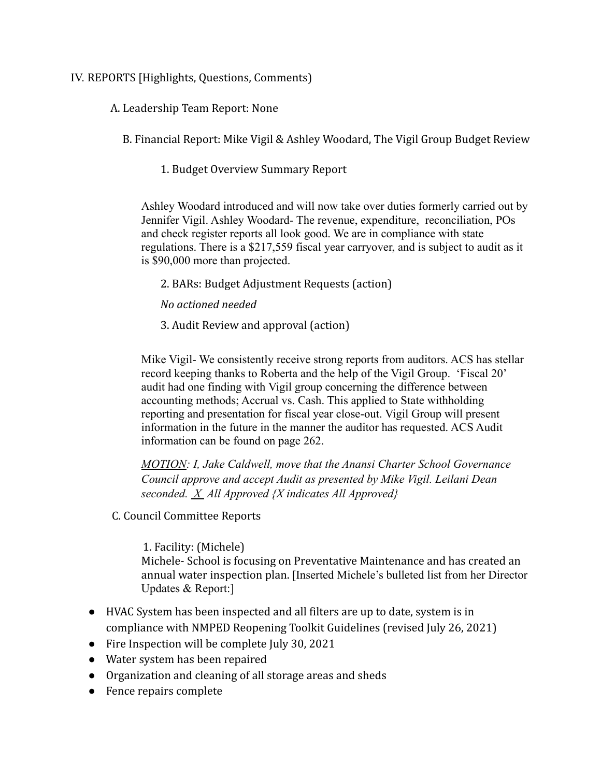## IV. REPORTS [Highlights, Questions, Comments)

A. Leadership Team Report: None

B. Financial Report: Mike Vigil & Ashley Woodard, The Vigil Group Budget Review

1. Budget Overview Summary Report

Ashley Woodard introduced and will now take over duties formerly carried out by Jennifer Vigil. Ashley Woodard- The revenue, expenditure, reconciliation, POs and check register reports all look good. We are in compliance with state regulations. There is a \$217,559 fiscal year carryover, and is subject to audit as it is \$90,000 more than projected.

2. BARs: Budget Adjustment Requests (action)

*No actioned needed*

3. Audit Review and approval (action)

Mike Vigil- We consistently receive strong reports from auditors. ACS has stellar record keeping thanks to Roberta and the help of the Vigil Group. 'Fiscal 20' audit had one finding with Vigil group concerning the difference between accounting methods; Accrual vs. Cash. This applied to State withholding reporting and presentation for fiscal year close-out. Vigil Group will present information in the future in the manner the auditor has requested. ACS Audit information can be found on page 262.

*MOTION: I, Jake Caldwell, move that the Anansi Charter School Governance Council approve and accept Audit as presented by Mike Vigil. Leilani Dean seconded. X All Approved {X indicates All Approved}*

C. Council Committee Reports

1. Facility: (Michele) Michele- School is focusing on Preventative Maintenance and has created an annual water inspection plan. [Inserted Michele's bulleted list from her Director Updates & Report:]

- HVAC System has been inspected and all filters are up to date, system is in compliance with NMPED Reopening Toolkit Guidelines (revised July 26, 2021)
- Fire Inspection will be complete July 30, 2021
- Water system has been repaired
- Organization and cleaning of all storage areas and sheds
- Fence repairs complete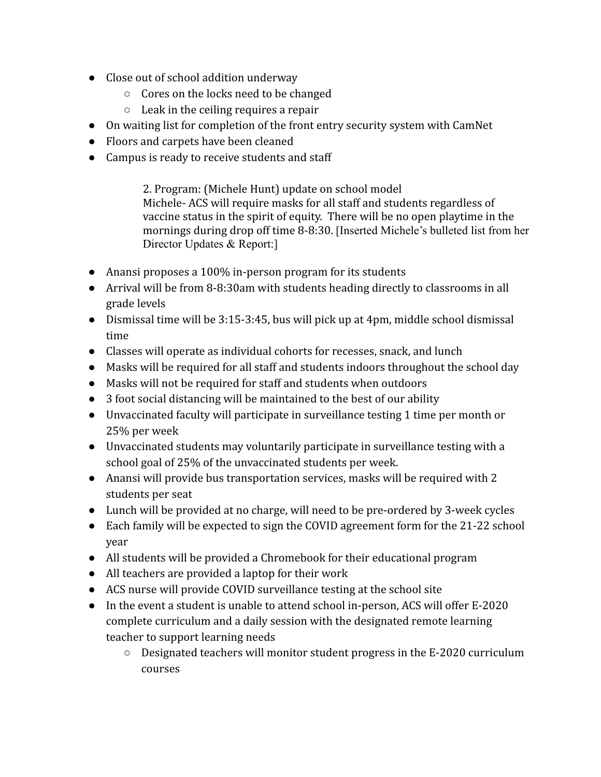- Close out of school addition underway
	- Cores on the locks need to be changed
	- $\circ$  Leak in the ceiling requires a repair
- On waiting list for completion of the front entry security system with CamNet
- Floors and carpets have been cleaned
- Campus is ready to receive students and staff

2. Program: (Michele Hunt) update on school model Michele- ACS will require masks for all staff and students regardless of vaccine status in the spirit of equity. There will be no open playtime in the mornings during drop off time 8-8:30. [Inserted Michele's bulleted list from her Director Updates & Report:]

- Anansi proposes a 100% in-person program for its students
- Arrival will be from 8-8:30am with students heading directly to classrooms in all grade levels
- Dismissal time will be 3:15-3:45, bus will pick up at 4pm, middle school dismissal time
- Classes will operate as individual cohorts for recesses, snack, and lunch
- Masks will be required for all staff and students indoors throughout the school day
- Masks will not be required for staff and students when outdoors
- 3 foot social distancing will be maintained to the best of our ability
- Unvaccinated faculty will participate in surveillance testing 1 time per month or 25% per week
- Unvaccinated students may voluntarily participate in surveillance testing with a school goal of 25% of the unvaccinated students per week.
- Anansi will provide bus transportation services, masks will be required with 2 students per seat
- Lunch will be provided at no charge, will need to be pre-ordered by 3-week cycles
- Each family will be expected to sign the COVID agreement form for the 21-22 school year
- All students will be provided a Chromebook for their educational program
- All teachers are provided a laptop for their work
- ACS nurse will provide COVID surveillance testing at the school site
- In the event a student is unable to attend school in-person, ACS will offer E-2020 complete curriculum and a daily session with the designated remote learning teacher to support learning needs
	- Designated teachers will monitor student progress in the E-2020 curriculum courses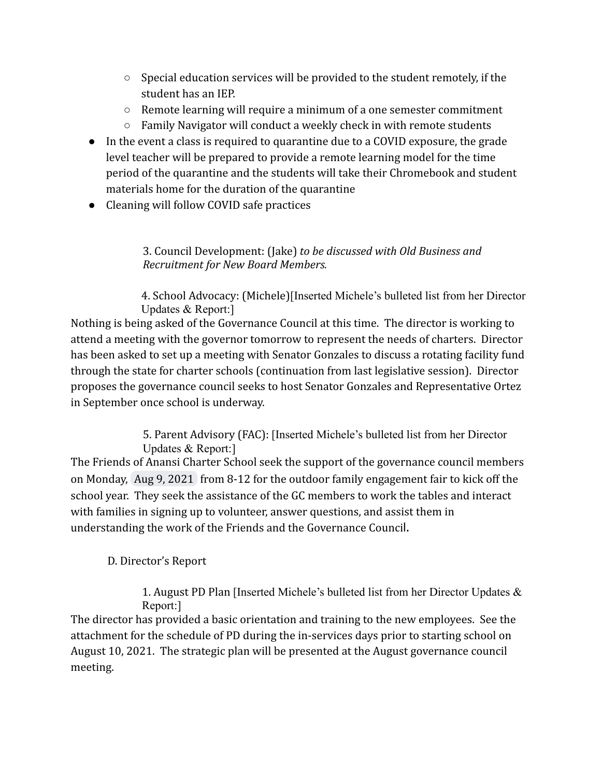- Special education services will be provided to the student remotely, if the student has an IEP.
- $\circ$  Remote learning will require a minimum of a one semester commitment
- Family Navigator will conduct a weekly check in with remote students
- In the event a class is required to quarantine due to a COVID exposure, the grade level teacher will be prepared to provide a remote learning model for the time period of the quarantine and the students will take their Chromebook and student materials home for the duration of the quarantine
- Cleaning will follow COVID safe practices

## 3. Council Development: (Jake) *to be discussed with Old Business and Recruitment for New Board Members.*

4. School Advocacy: (Michele)[Inserted Michele's bulleted list from her Director Updates & Report:]

Nothing is being asked of the Governance Council at this time. The director is working to attend a meeting with the governor tomorrow to represent the needs of charters. Director has been asked to set up a meeting with Senator Gonzales to discuss a rotating facility fund through the state for charter schools (continuation from last legislative session). Director proposes the governance council seeks to host Senator Gonzales and Representative Ortez in September once school is underway.

> 5. Parent Advisory (FAC): [Inserted Michele's bulleted list from her Director Updates & Report:]

The Friends of Anansi Charter School seek the support of the governance council members on Monday, Aug 9, 2021 from 8-12 for the outdoor family engagement fair to kick off the school year. They seek the assistance of the GC members to work the tables and interact with families in signing up to volunteer, answer questions, and assist them in understanding the work of the Friends and the Governance Council.

## D. Director's Report

1. August PD Plan [Inserted Michele's bulleted list from her Director Updates & Report:]

The director has provided a basic orientation and training to the new employees. See the attachment for the schedule of PD during the in-services days prior to starting school on August 10, 2021. The strategic plan will be presented at the August governance council meeting.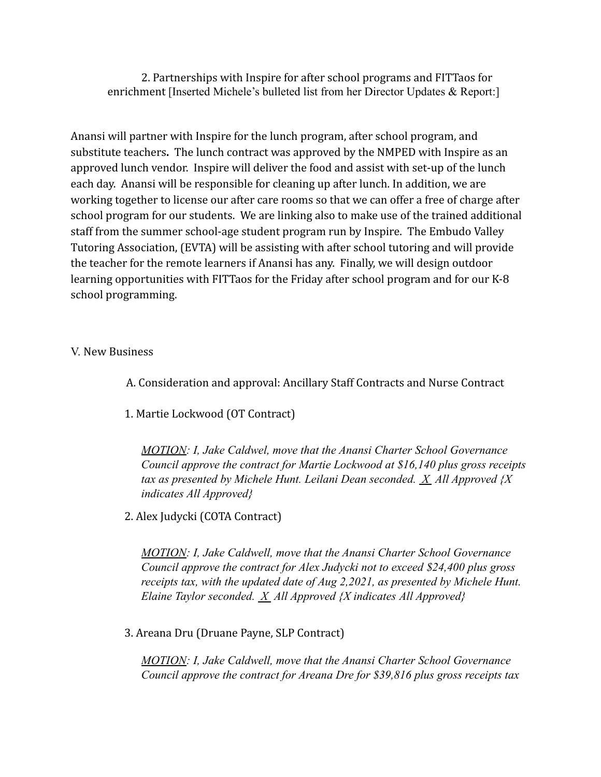2. Partnerships with Inspire for after school programs and FITTaos for enrichment [Inserted Michele's bulleted list from her Director Updates & Report:]

Anansi will partner with Inspire for the lunch program, after school program, and substitute teachers**.** The lunch contract was approved by the NMPED with Inspire as an approved lunch vendor. Inspire will deliver the food and assist with set-up of the lunch each day. Anansi will be responsible for cleaning up after lunch. In addition, we are working together to license our after care rooms so that we can offer a free of charge after school program for our students. We are linking also to make use of the trained additional staff from the summer school-age student program run by Inspire. The Embudo Valley Tutoring Association, (EVTA) will be assisting with after school tutoring and will provide the teacher for the remote learners if Anansi has any. Finally, we will design outdoor learning opportunities with FITTaos for the Friday after school program and for our K-8 school programming.

## V. New Business

- A. Consideration and approval: Ancillary Staff Contracts and Nurse Contract
- 1. Martie Lockwood (OT Contract)

*MOTION: I, Jake Caldwel, move that the Anansi Charter School Governance Council approve the contract for Martie Lockwood at \$16,140 plus gross receipts tax as presented by Michele Hunt. Leilani Dean seconded. X All Approved {X indicates All Approved}*

2. Alex Judycki (COTA Contract)

*MOTION: I, Jake Caldwell, move that the Anansi Charter School Governance Council approve the contract for Alex Judycki not to exceed \$24,400 plus gross receipts tax, with the updated date of Aug 2,2021, as presented by Michele Hunt. Elaine Taylor seconded. X All Approved {X indicates All Approved}*

3. Areana Dru (Druane Payne, SLP Contract)

*MOTION: I, Jake Caldwell, move that the Anansi Charter School Governance Council approve the contract for Areana Dre for \$39,816 plus gross receipts tax*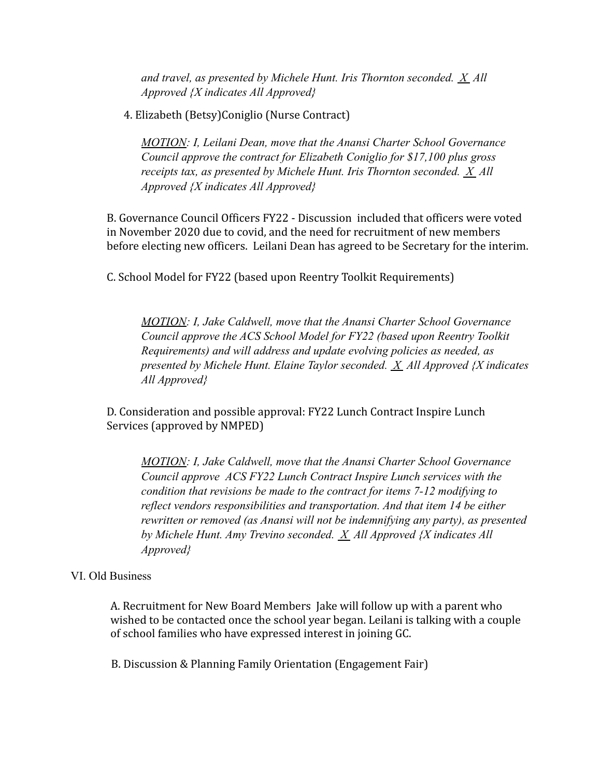*and travel, as presented by Michele Hunt. Iris Thornton seconded. X All Approved {X indicates All Approved}*

4. Elizabeth (Betsy)Coniglio (Nurse Contract)

*MOTION: I, Leilani Dean, move that the Anansi Charter School Governance Council approve the contract for Elizabeth Coniglio for \$17,100 plus gross receipts tax, as presented by Michele Hunt. Iris Thornton seconded. X All Approved {X indicates All Approved}*

B. Governance Council Officers FY22 - Discussion included that officers were voted in November 2020 due to covid, and the need for recruitment of new members before electing new officers. Leilani Dean has agreed to be Secretary for the interim.

C. School Model for FY22 (based upon Reentry Toolkit Requirements)

*MOTION: I, Jake Caldwell, move that the Anansi Charter School Governance Council approve the ACS School Model for FY22 (based upon Reentry Toolkit Requirements) and will address and update evolving policies as needed, as presented by Michele Hunt. Elaine Taylor seconded. X All Approved {X indicates All Approved}*

D. Consideration and possible approval: FY22 Lunch Contract Inspire Lunch Services (approved by NMPED)

*MOTION: I, Jake Caldwell, move that the Anansi Charter School Governance Council approve ACS FY22 Lunch Contract Inspire Lunch services with the condition that revisions be made to the contract for items 7-12 modifying to reflect vendors responsibilities and transportation. And that item 14 be either rewritten or removed (as Anansi will not be indemnifying any party), as presented by Michele Hunt. Amy Trevino seconded. X All Approved {X indicates All Approved}*

#### VI. Old Business

A. Recruitment for New Board Members Jake will follow up with a parent who wished to be contacted once the school year began. Leilani is talking with a couple of school families who have expressed interest in joining GC.

B. Discussion & Planning Family Orientation (Engagement Fair)